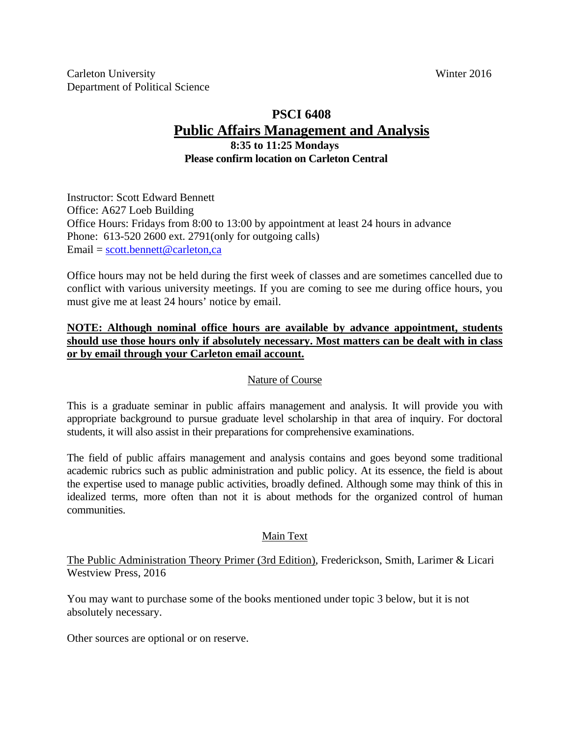# **PSCI 6408 Public Affairs Management and Analysis**

### **8:35 to 11:25 Mondays Please confirm location on Carleton Central**

Instructor: Scott Edward Bennett Office: A627 Loeb Building Office Hours: Fridays from 8:00 to 13:00 by appointment at least 24 hours in advance Phone: 613-520 2600 ext. 2791(only for outgoing calls) Email = scott.bennett@carleton,ca

Office hours may not be held during the first week of classes and are sometimes cancelled due to conflict with various university meetings. If you are coming to see me during office hours, you must give me at least 24 hours' notice by email.

# **NOTE: Although nominal office hours are available by advance appointment, students should use those hours only if absolutely necessary. Most matters can be dealt with in class or by email through your Carleton email account.**

# Nature of Course

This is a graduate seminar in public affairs management and analysis. It will provide you with appropriate background to pursue graduate level scholarship in that area of inquiry. For doctoral students, it will also assist in their preparations for comprehensive examinations.

The field of public affairs management and analysis contains and goes beyond some traditional academic rubrics such as public administration and public policy. At its essence, the field is about the expertise used to manage public activities, broadly defined. Although some may think of this in idealized terms, more often than not it is about methods for the organized control of human communities.

# Main Text

The Public Administration Theory Primer (3rd Edition), Frederickson, Smith, Larimer & Licari Westview Press, 2016

You may want to purchase some of the books mentioned under topic 3 below, but it is not absolutely necessary.

Other sources are optional or on reserve.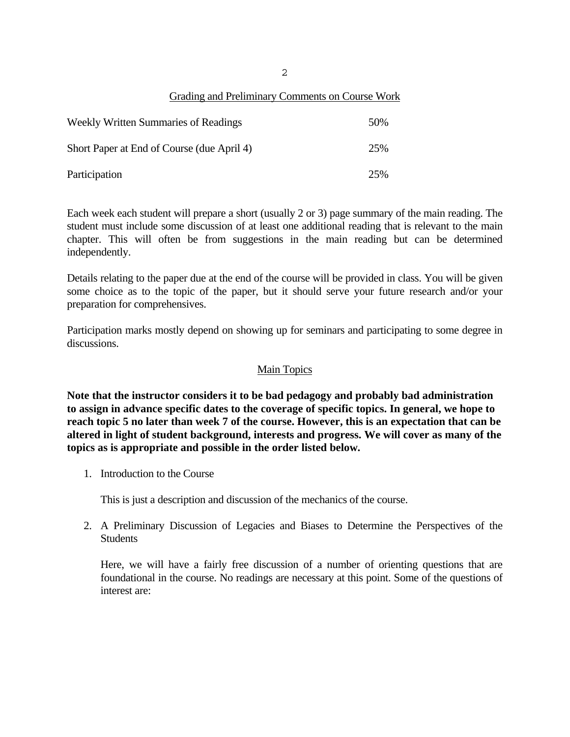2

#### Grading and Preliminary Comments on Course Work

| <b>Weekly Written Summaries of Readings</b> | 50% |
|---------------------------------------------|-----|
| Short Paper at End of Course (due April 4)  | 25% |
| Participation                               | 25% |

Each week each student will prepare a short (usually 2 or 3) page summary of the main reading. The student must include some discussion of at least one additional reading that is relevant to the main chapter. This will often be from suggestions in the main reading but can be determined independently.

Details relating to the paper due at the end of the course will be provided in class. You will be given some choice as to the topic of the paper, but it should serve your future research and/or your preparation for comprehensives.

Participation marks mostly depend on showing up for seminars and participating to some degree in discussions.

#### Main Topics

**Note that the instructor considers it to be bad pedagogy and probably bad administration to assign in advance specific dates to the coverage of specific topics. In general, we hope to reach topic 5 no later than week 7 of the course. However, this is an expectation that can be altered in light of student background, interests and progress. We will cover as many of the topics as is appropriate and possible in the order listed below.** 

1. Introduction to the Course

This is just a description and discussion of the mechanics of the course.

2. A Preliminary Discussion of Legacies and Biases to Determine the Perspectives of the **Students** 

Here, we will have a fairly free discussion of a number of orienting questions that are foundational in the course. No readings are necessary at this point. Some of the questions of interest are: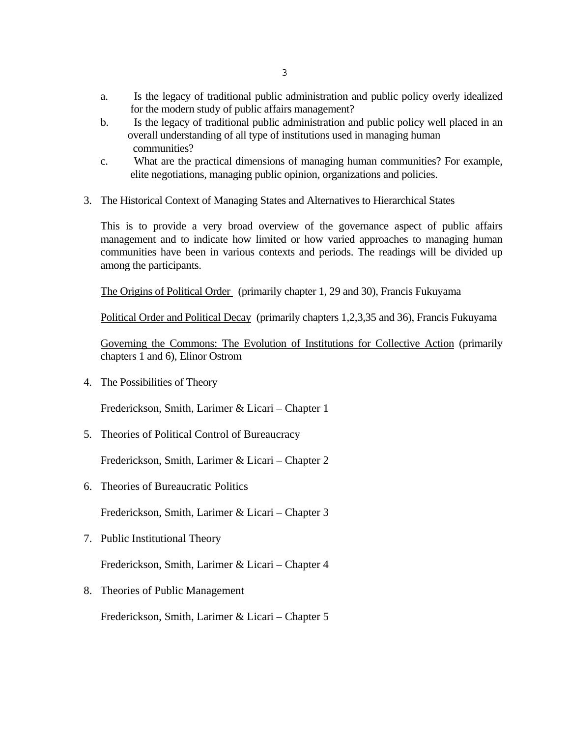- a. Is the legacy of traditional public administration and public policy overly idealized for the modern study of public affairs management?
- b. Is the legacy of traditional public administration and public policy well placed in an overall understanding of all type of institutions used in managing human communities?
- c. What are the practical dimensions of managing human communities? For example, elite negotiations, managing public opinion, organizations and policies.
- 3. The Historical Context of Managing States and Alternatives to Hierarchical States

This is to provide a very broad overview of the governance aspect of public affairs management and to indicate how limited or how varied approaches to managing human communities have been in various contexts and periods. The readings will be divided up among the participants.

The Origins of Political Order (primarily chapter 1, 29 and 30), Francis Fukuyama

Political Order and Political Decay (primarily chapters 1,2,3,35 and 36), Francis Fukuyama

Governing the Commons: The Evolution of Institutions for Collective Action (primarily chapters 1 and 6), Elinor Ostrom

4. The Possibilities of Theory

Frederickson, Smith, Larimer & Licari – Chapter 1

5. Theories of Political Control of Bureaucracy

Frederickson, Smith, Larimer & Licari – Chapter 2

6. Theories of Bureaucratic Politics

Frederickson, Smith, Larimer & Licari – Chapter 3

7. Public Institutional Theory

Frederickson, Smith, Larimer & Licari – Chapter 4

8. Theories of Public Management

Frederickson, Smith, Larimer & Licari – Chapter 5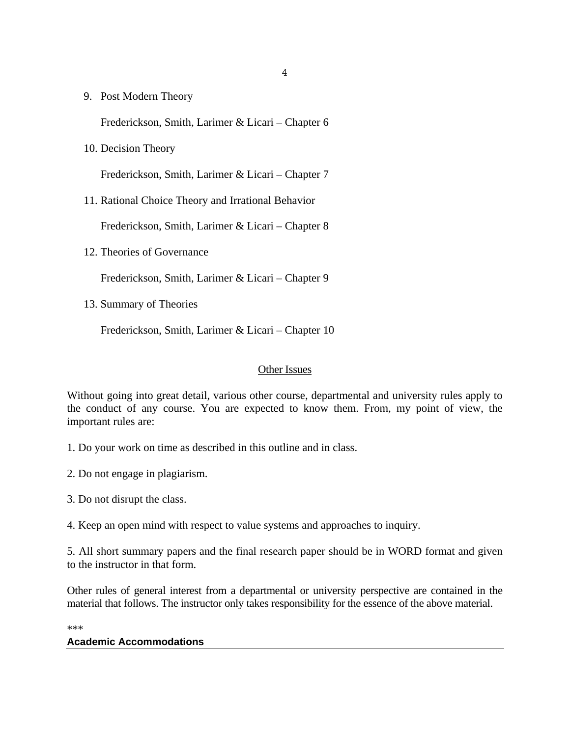9. Post Modern Theory

Frederickson, Smith, Larimer & Licari – Chapter 6

10. Decision Theory

Frederickson, Smith, Larimer & Licari – Chapter 7

11. Rational Choice Theory and Irrational Behavior

Frederickson, Smith, Larimer & Licari – Chapter 8

12. Theories of Governance

Frederickson, Smith, Larimer & Licari – Chapter 9

13. Summary of Theories

Frederickson, Smith, Larimer & Licari – Chapter 10

#### Other Issues

Without going into great detail, various other course, departmental and university rules apply to the conduct of any course. You are expected to know them. From, my point of view, the important rules are:

- 1. Do your work on time as described in this outline and in class.
- 2. Do not engage in plagiarism.
- 3. Do not disrupt the class.
- 4. Keep an open mind with respect to value systems and approaches to inquiry.

5. All short summary papers and the final research paper should be in WORD format and given to the instructor in that form.

Other rules of general interest from a departmental or university perspective are contained in the material that follows. The instructor only takes responsibility for the essence of the above material.

\*\*\*

#### **Academic Accommodations**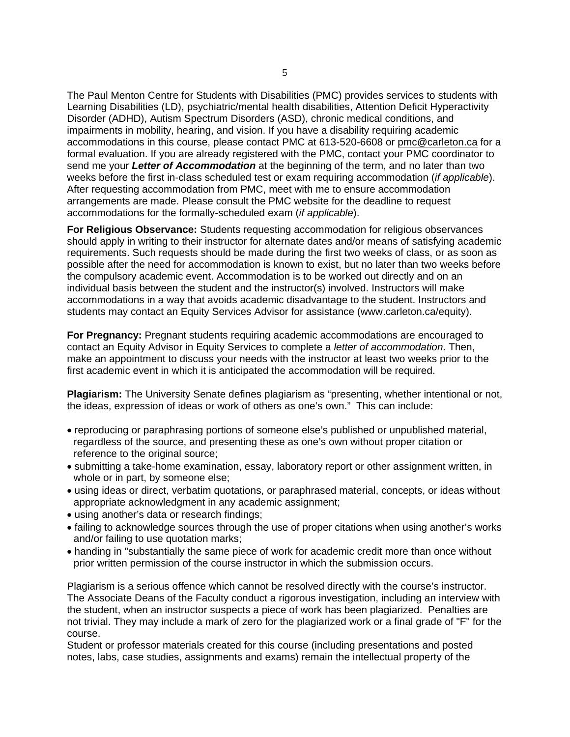The Paul Menton Centre for Students with Disabilities (PMC) provides services to students with Learning Disabilities (LD), psychiatric/mental health disabilities, Attention Deficit Hyperactivity Disorder (ADHD), Autism Spectrum Disorders (ASD), chronic medical conditions, and impairments in mobility, hearing, and vision. If you have a disability requiring academic accommodations in this course, please contact PMC at 613-520-6608 or pmc@carleton.ca for a formal evaluation. If you are already registered with the PMC, contact your PMC coordinator to send me your *Letter of Accommodation* at the beginning of the term, and no later than two weeks before the first in-class scheduled test or exam requiring accommodation (*if applicable*). After requesting accommodation from PMC, meet with me to ensure accommodation arrangements are made. Please consult the PMC website for the deadline to request accommodations for the formally-scheduled exam (*if applicable*).

**For Religious Observance:** Students requesting accommodation for religious observances should apply in writing to their instructor for alternate dates and/or means of satisfying academic requirements. Such requests should be made during the first two weeks of class, or as soon as possible after the need for accommodation is known to exist, but no later than two weeks before the compulsory academic event. Accommodation is to be worked out directly and on an individual basis between the student and the instructor(s) involved. Instructors will make accommodations in a way that avoids academic disadvantage to the student. Instructors and students may contact an Equity Services Advisor for assistance (www.carleton.ca/equity).

**For Pregnancy:** Pregnant students requiring academic accommodations are encouraged to contact an Equity Advisor in Equity Services to complete a *letter of accommodation*. Then, make an appointment to discuss your needs with the instructor at least two weeks prior to the first academic event in which it is anticipated the accommodation will be required.

**Plagiarism:** The University Senate defines plagiarism as "presenting, whether intentional or not, the ideas, expression of ideas or work of others as one's own." This can include:

- reproducing or paraphrasing portions of someone else's published or unpublished material, regardless of the source, and presenting these as one's own without proper citation or reference to the original source;
- submitting a take-home examination, essay, laboratory report or other assignment written, in whole or in part, by someone else;
- using ideas or direct, verbatim quotations, or paraphrased material, concepts, or ideas without appropriate acknowledgment in any academic assignment;
- using another's data or research findings;
- failing to acknowledge sources through the use of proper citations when using another's works and/or failing to use quotation marks;
- handing in "substantially the same piece of work for academic credit more than once without prior written permission of the course instructor in which the submission occurs.

Plagiarism is a serious offence which cannot be resolved directly with the course's instructor. The Associate Deans of the Faculty conduct a rigorous investigation, including an interview with the student, when an instructor suspects a piece of work has been plagiarized. Penalties are not trivial. They may include a mark of zero for the plagiarized work or a final grade of "F" for the course.

Student or professor materials created for this course (including presentations and posted notes, labs, case studies, assignments and exams) remain the intellectual property of the